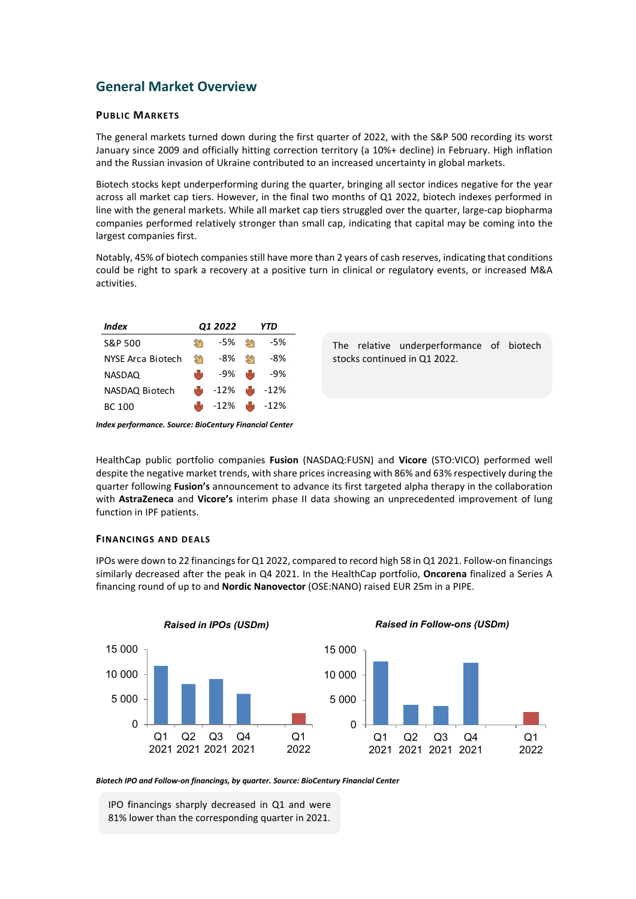## **General Market Overview**

## **PUBLIC MARKETS**

The general markets turned down during the first quarter of 2022, with the S&P 500 recording its worst January since 2009 and officially hitting correction territory (a 10%+ decline) in February. High inflation and the Russian invasion of Ukraine contributed to an increased uncertainty in global markets.

Biotech stocks kept underperforming during the quarter, bringing all sector indices negative for the year across all market cap tiers. However, in the final two months of Q1 2022, biotech indexes performed in line with the general markets. While all market cap tiers struggled over the quarter, large-cap biopharma companies performed relatively stronger than small cap, indicating that capital may be coming into the largest companies first.

Notably, 45% of biotech companies still have more than 2 years of cash reserves, indicating that conditions could be right to spark a recovery at a positive turn in clinical or regulatory events, or increased M&A activities.

The relative underperformance of biotech

stocks continued in Q1 2022.



*Index performance. Source: BioCentury Financial Center*

HealthCap public portfolio companies **Fusion** (NASDAQ:FUSN) and **Vicore** (STO:VICO) performed well despite the negative market trends, with share prices increasing with 86% and 63% respectively during the quarter following **Fusion's** announcement to advance its first targeted alpha therapy in the collaboration with **AstraZeneca** and **Vicore's** interim phase II data showing an unprecedented improvement of lung function in IPF patients.

## **FINANCINGS AND DEALS**

IPOs were down to 22 financings for Q1 2022, compared to record high 58 in Q1 2021. Follow-on financings similarly decreased after the peak in Q4 2021. In the HealthCap portfolio, **Oncorena** finalized a Series A financing round of up to and **Nordic Nanovector** (OSE:NANO) raised EUR 25m in a PIPE.



*Biotech IPO and Follow-on financings, by quarter. Source: BioCentury Financial Center*

IPO financings sharply decreased in Q1 and were 81% lower than the corresponding quarter in 2021.